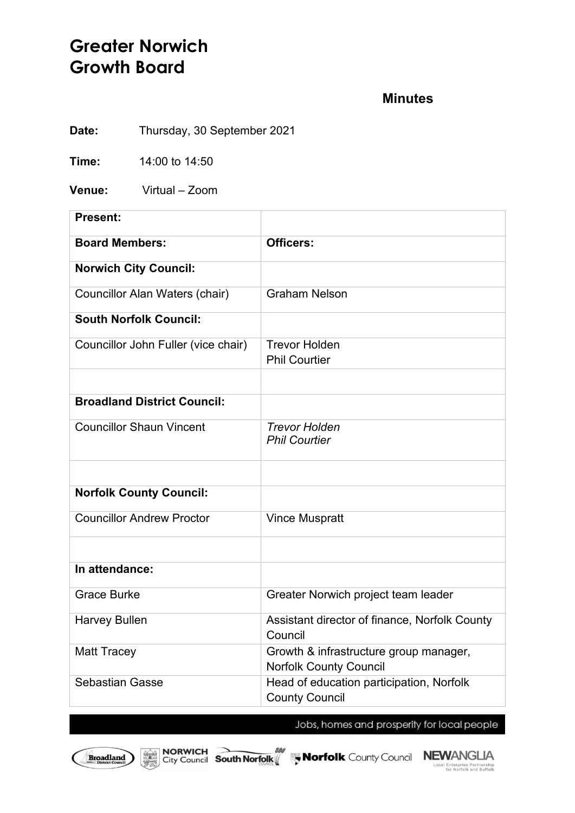# **Greater Norwich Growth Board**

## **Minutes**

**Date:** Thursday, 30 September 2021

**Time:** 14:00 to 14:50

**Venue:** Virtual – Zoom

| <b>Present:</b>                       |                                                                         |
|---------------------------------------|-------------------------------------------------------------------------|
| <b>Board Members:</b>                 | Officers:                                                               |
| <b>Norwich City Council:</b>          |                                                                         |
| <b>Councillor Alan Waters (chair)</b> | <b>Graham Nelson</b>                                                    |
| <b>South Norfolk Council:</b>         |                                                                         |
| Councillor John Fuller (vice chair)   | <b>Trevor Holden</b><br><b>Phil Courtier</b>                            |
|                                       |                                                                         |
| <b>Broadland District Council:</b>    |                                                                         |
| <b>Councillor Shaun Vincent</b>       | <b>Trevor Holden</b><br><b>Phil Courtier</b>                            |
|                                       |                                                                         |
| <b>Norfolk County Council:</b>        |                                                                         |
| <b>Councillor Andrew Proctor</b>      | <b>Vince Muspratt</b>                                                   |
|                                       |                                                                         |
| In attendance:                        |                                                                         |
| <b>Grace Burke</b>                    | Greater Norwich project team leader                                     |
| <b>Harvey Bullen</b>                  | Assistant director of finance, Norfolk County<br>Council                |
| <b>Matt Tracey</b>                    | Growth & infrastructure group manager,<br><b>Norfolk County Council</b> |
| <b>Sebastian Gasse</b>                | Head of education participation, Norfolk<br><b>County Council</b>       |

Jobs, homes and prosperity for local people





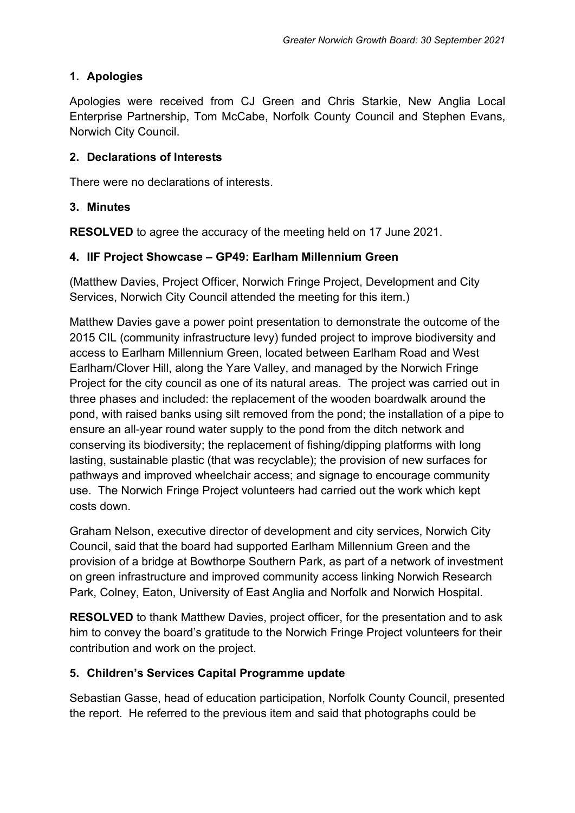# **1. Apologies**

Apologies were received from CJ Green and Chris Starkie, New Anglia Local Enterprise Partnership, Tom McCabe, Norfolk County Council and Stephen Evans, Norwich City Council.

### **2. Declarations of Interests**

There were no declarations of interests.

#### **3. Minutes**

**RESOLVED** to agree the accuracy of the meeting held on 17 June 2021.

### **4. IIF Project Showcase – GP49: Earlham Millennium Green**

(Matthew Davies, Project Officer, Norwich Fringe Project, Development and City Services, Norwich City Council attended the meeting for this item.)

Matthew Davies gave a power point presentation to demonstrate the outcome of the 2015 CIL (community infrastructure levy) funded project to improve biodiversity and access to Earlham Millennium Green, located between Earlham Road and West Earlham/Clover Hill, along the Yare Valley, and managed by the Norwich Fringe Project for the city council as one of its natural areas. The project was carried out in three phases and included: the replacement of the wooden boardwalk around the pond, with raised banks using silt removed from the pond; the installation of a pipe to ensure an all-year round water supply to the pond from the ditch network and conserving its biodiversity; the replacement of fishing/dipping platforms with long lasting, sustainable plastic (that was recyclable); the provision of new surfaces for pathways and improved wheelchair access; and signage to encourage community use. The Norwich Fringe Project volunteers had carried out the work which kept costs down.

Graham Nelson, executive director of development and city services, Norwich City Council, said that the board had supported Earlham Millennium Green and the provision of a bridge at Bowthorpe Southern Park, as part of a network of investment on green infrastructure and improved community access linking Norwich Research Park, Colney, Eaton, University of East Anglia and Norfolk and Norwich Hospital.

**RESOLVED** to thank Matthew Davies, project officer, for the presentation and to ask him to convey the board's gratitude to the Norwich Fringe Project volunteers for their contribution and work on the project.

## **5. Children's Services Capital Programme update**

Sebastian Gasse, head of education participation, Norfolk County Council, presented the report. He referred to the previous item and said that photographs could be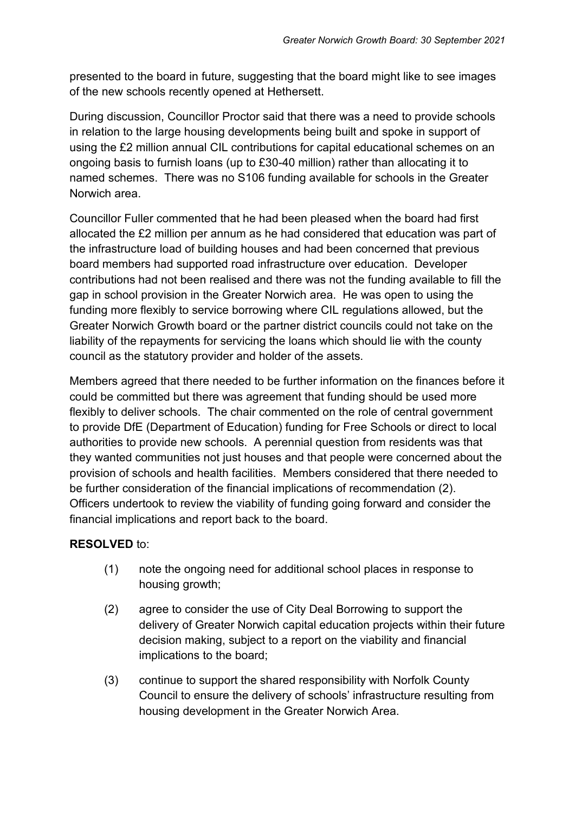presented to the board in future, suggesting that the board might like to see images of the new schools recently opened at Hethersett.

During discussion, Councillor Proctor said that there was a need to provide schools in relation to the large housing developments being built and spoke in support of using the £2 million annual CIL contributions for capital educational schemes on an ongoing basis to furnish loans (up to £30-40 million) rather than allocating it to named schemes. There was no S106 funding available for schools in the Greater Norwich area.

Councillor Fuller commented that he had been pleased when the board had first allocated the £2 million per annum as he had considered that education was part of the infrastructure load of building houses and had been concerned that previous board members had supported road infrastructure over education. Developer contributions had not been realised and there was not the funding available to fill the gap in school provision in the Greater Norwich area. He was open to using the funding more flexibly to service borrowing where CIL regulations allowed, but the Greater Norwich Growth board or the partner district councils could not take on the liability of the repayments for servicing the loans which should lie with the county council as the statutory provider and holder of the assets.

Members agreed that there needed to be further information on the finances before it could be committed but there was agreement that funding should be used more flexibly to deliver schools. The chair commented on the role of central government to provide DfE (Department of Education) funding for Free Schools or direct to local authorities to provide new schools. A perennial question from residents was that they wanted communities not just houses and that people were concerned about the provision of schools and health facilities. Members considered that there needed to be further consideration of the financial implications of recommendation (2). Officers undertook to review the viability of funding going forward and consider the financial implications and report back to the board.

#### **RESOLVED** to:

- (1) note the ongoing need for additional school places in response to housing growth;
- (2) agree to consider the use of City Deal Borrowing to support the delivery of Greater Norwich capital education projects within their future decision making, subject to a report on the viability and financial implications to the board;
- (3) continue to support the shared responsibility with Norfolk County Council to ensure the delivery of schools' infrastructure resulting from housing development in the Greater Norwich Area.